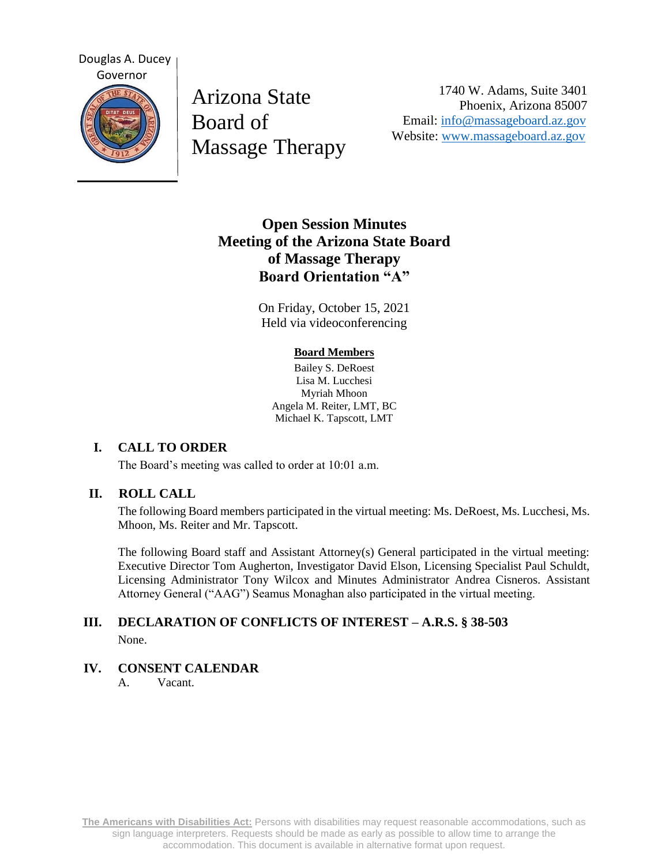

Arizona State Board of Massage Therapy

1740 W. Adams, Suite 3401 Phoenix, Arizona 85007 Email: [info@massageboard.az.gov](mailto:info@massageboard.az.gov) Website: [www.massageboard.az.gov](http://www.massageboard.az.gov/)

# **Open Session Minutes Meeting of the Arizona State Board of Massage Therapy Board Orientation "A"**

On Friday, October 15, 2021 Held via videoconferencing

#### **Board Members**

Bailey S. DeRoest Lisa M. Lucchesi Myriah Mhoon Angela M. Reiter, LMT, BC Michael K. Tapscott, LMT

# **I. CALL TO ORDER**

The Board's meeting was called to order at 10:01 a.m.

#### **II. ROLL CALL**

The following Board members participated in the virtual meeting: Ms. DeRoest, Ms. Lucchesi, Ms. Mhoon, Ms. Reiter and Mr. Tapscott.

The following Board staff and Assistant Attorney(s) General participated in the virtual meeting: Executive Director Tom Augherton, Investigator David Elson, Licensing Specialist Paul Schuldt, Licensing Administrator Tony Wilcox and Minutes Administrator Andrea Cisneros. Assistant Attorney General ("AAG") Seamus Monaghan also participated in the virtual meeting.

# **III. DECLARATION OF CONFLICTS OF INTEREST – A.R.S. § 38-503** None.

#### **IV. CONSENT CALENDAR**

A. Vacant.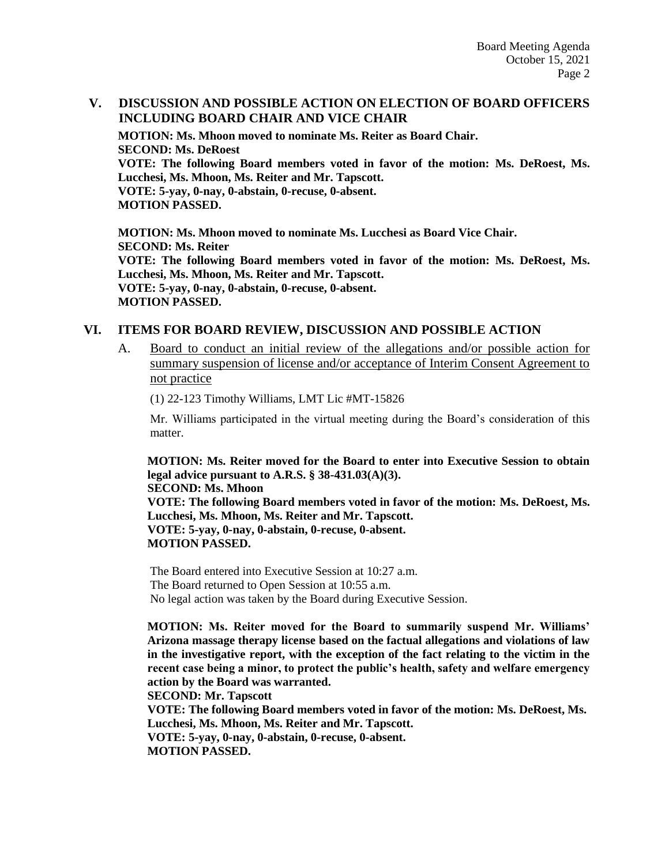# **V. DISCUSSION AND POSSIBLE ACTION ON ELECTION OF BOARD OFFICERS INCLUDING BOARD CHAIR AND VICE CHAIR**

**MOTION: Ms. Mhoon moved to nominate Ms. Reiter as Board Chair. SECOND: Ms. DeRoest VOTE: The following Board members voted in favor of the motion: Ms. DeRoest, Ms. Lucchesi, Ms. Mhoon, Ms. Reiter and Mr. Tapscott. VOTE: 5-yay, 0-nay, 0-abstain, 0-recuse, 0-absent. MOTION PASSED.** 

**MOTION: Ms. Mhoon moved to nominate Ms. Lucchesi as Board Vice Chair. SECOND: Ms. Reiter VOTE: The following Board members voted in favor of the motion: Ms. DeRoest, Ms. Lucchesi, Ms. Mhoon, Ms. Reiter and Mr. Tapscott. VOTE: 5-yay, 0-nay, 0-abstain, 0-recuse, 0-absent. MOTION PASSED.** 

#### **VI. ITEMS FOR BOARD REVIEW, DISCUSSION AND POSSIBLE ACTION**

A. Board to conduct an initial review of the allegations and/or possible action for summary suspension of license and/or acceptance of Interim Consent Agreement to not practice

(1) 22-123 Timothy Williams, LMT Lic #MT-15826

Mr. Williams participated in the virtual meeting during the Board's consideration of this matter.

**MOTION: Ms. Reiter moved for the Board to enter into Executive Session to obtain legal advice pursuant to A.R.S. § 38-431.03(A)(3). SECOND: Ms. Mhoon VOTE: The following Board members voted in favor of the motion: Ms. DeRoest, Ms. Lucchesi, Ms. Mhoon, Ms. Reiter and Mr. Tapscott. VOTE: 5-yay, 0-nay, 0-abstain, 0-recuse, 0-absent. MOTION PASSED.** 

The Board entered into Executive Session at 10:27 a.m. The Board returned to Open Session at 10:55 a.m. No legal action was taken by the Board during Executive Session.

**MOTION: Ms. Reiter moved for the Board to summarily suspend Mr. Williams' Arizona massage therapy license based on the factual allegations and violations of law in the investigative report, with the exception of the fact relating to the victim in the recent case being a minor, to protect the public's health, safety and welfare emergency action by the Board was warranted.** 

**SECOND: Mr. Tapscott** 

**VOTE: The following Board members voted in favor of the motion: Ms. DeRoest, Ms. Lucchesi, Ms. Mhoon, Ms. Reiter and Mr. Tapscott. VOTE: 5-yay, 0-nay, 0-abstain, 0-recuse, 0-absent.** 

**MOTION PASSED.**